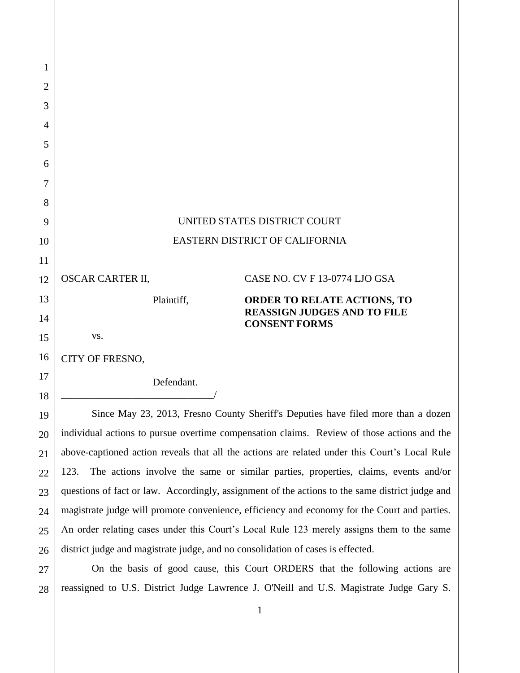| 1              |                                                                                                 |                                                            |  |
|----------------|-------------------------------------------------------------------------------------------------|------------------------------------------------------------|--|
| $\overline{2}$ |                                                                                                 |                                                            |  |
| 3              |                                                                                                 |                                                            |  |
| 4              |                                                                                                 |                                                            |  |
| 5              |                                                                                                 |                                                            |  |
| 6              |                                                                                                 |                                                            |  |
| 7              |                                                                                                 |                                                            |  |
| 8              |                                                                                                 |                                                            |  |
| 9              | UNITED STATES DISTRICT COURT                                                                    |                                                            |  |
| 10             | <b>EASTERN DISTRICT OF CALIFORNIA</b>                                                           |                                                            |  |
| 11             |                                                                                                 |                                                            |  |
| 12             | <b>OSCAR CARTER II,</b>                                                                         | CASE NO. CV F 13-0774 LJO GSA                              |  |
| 13             | Plaintiff,                                                                                      | <b>ORDER TO RELATE ACTIONS, TO</b>                         |  |
| 14             |                                                                                                 | <b>REASSIGN JUDGES AND TO FILE</b><br><b>CONSENT FORMS</b> |  |
| 15             | VS.                                                                                             |                                                            |  |
| 16             | CITY OF FRESNO,                                                                                 |                                                            |  |
| 17             | Defendant.                                                                                      |                                                            |  |
| 18             |                                                                                                 |                                                            |  |
| 19             | Since May 23, 2013, Fresno County Sheriff's Deputies have filed more than a dozen               |                                                            |  |
| 20             | individual actions to pursue overtime compensation claims. Review of those actions and the      |                                                            |  |
| 21             | above-captioned action reveals that all the actions are related under this Court's Local Rule   |                                                            |  |
| 22             | The actions involve the same or similar parties, properties, claims, events and/or<br>123.      |                                                            |  |
| 23             | questions of fact or law. Accordingly, assignment of the actions to the same district judge and |                                                            |  |
| 24             | magistrate judge will promote convenience, efficiency and economy for the Court and parties.    |                                                            |  |
| 25             | An order relating cases under this Court's Local Rule 123 merely assigns them to the same       |                                                            |  |
| 26             | district judge and magistrate judge, and no consolidation of cases is effected.                 |                                                            |  |

28 On the basis of good cause, this Court ORDERS that the following actions are reassigned to U.S. District Judge Lawrence J. O'Neill and U.S. Magistrate Judge Gary S.

27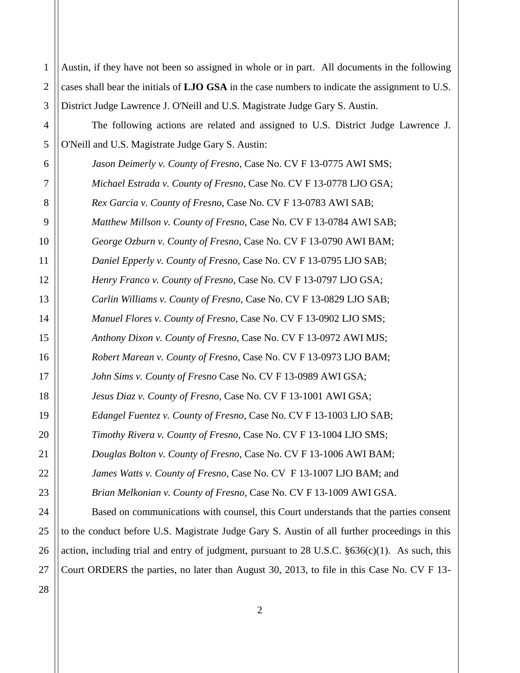| $\mathbf{1}$   | Austin, if they have not been so assigned in whole or in part. All documents in the following          |  |  |
|----------------|--------------------------------------------------------------------------------------------------------|--|--|
| $\overline{2}$ | cases shall bear the initials of <b>LJO GSA</b> in the case numbers to indicate the assignment to U.S. |  |  |
| 3              | District Judge Lawrence J. O'Neill and U.S. Magistrate Judge Gary S. Austin.                           |  |  |
| 4              | The following actions are related and assigned to U.S. District Judge Lawrence J.                      |  |  |
| 5              | O'Neill and U.S. Magistrate Judge Gary S. Austin:                                                      |  |  |
| 6              | Jason Deimerly v. County of Fresno, Case No. CV F 13-0775 AWI SMS;                                     |  |  |
| 7              | Michael Estrada v. County of Fresno, Case No. CV F 13-0778 LJO GSA;                                    |  |  |
| 8              | Rex Garcia v. County of Fresno, Case No. CV F 13-0783 AWI SAB;                                         |  |  |
| 9              | Matthew Millson v. County of Fresno, Case No. CV F 13-0784 AWI SAB;                                    |  |  |
| 10             | George Ozburn v. County of Fresno, Case No. CV F 13-0790 AWI BAM;                                      |  |  |
| 11             | Daniel Epperly v. County of Fresno, Case No. CV F 13-0795 LJO SAB;                                     |  |  |
| 12             | Henry Franco v. County of Fresno, Case No. CV F 13-0797 LJO GSA;                                       |  |  |
| 13             | Carlin Williams v. County of Fresno, Case No. CV F 13-0829 LJO SAB;                                    |  |  |
| 14             | Manuel Flores v. County of Fresno, Case No. CV F 13-0902 LJO SMS;                                      |  |  |
| 15             | Anthony Dixon v. County of Fresno, Case No. CV F 13-0972 AWI MJS;                                      |  |  |
| 16             | Robert Marean v. County of Fresno, Case No. CV F 13-0973 LJO BAM;                                      |  |  |
| 17             | John Sims v. County of Fresno Case No. CV F 13-0989 AWI GSA;                                           |  |  |
| 18             | Jesus Diaz v. County of Fresno, Case No. CV F 13-1001 AWI GSA;                                         |  |  |
| 19             | Edangel Fuentez v. County of Fresno, Case No. CV F 13-1003 LJO SAB;                                    |  |  |
| 20             | Timothy Rivera v. County of Fresno, Case No. CV F 13-1004 LJO SMS;                                     |  |  |
| 21             | Douglas Bolton v. County of Fresno, Case No. CV F 13-1006 AWI BAM;                                     |  |  |
| 22             | James Watts v. County of Fresno, Case No. CV F 13-1007 LJO BAM; and                                    |  |  |
| 23             | Brian Melkonian v. County of Fresno, Case No. CV F 13-1009 AWI GSA.                                    |  |  |
| 24             | Based on communications with counsel, this Court understands that the parties consent                  |  |  |
| 25             | to the conduct before U.S. Magistrate Judge Gary S. Austin of all further proceedings in this          |  |  |
| 26             | action, including trial and entry of judgment, pursuant to 28 U.S.C. §636(c)(1). As such, this         |  |  |
| 27             | Court ORDERS the parties, no later than August 30, 2013, to file in this Case No. CV F 13-             |  |  |
| 28             |                                                                                                        |  |  |